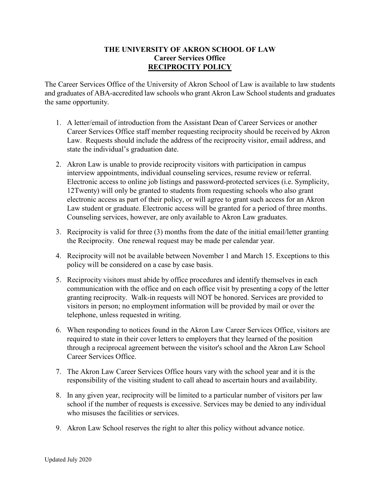## **THE UNIVERSITY OF AKRON SCHOOL OF LAW Career Services Office RECIPROCITY POLICY**

The Career Services Office of the University of Akron School of Law is available to law students and graduates of ABA-accredited law schools who grant Akron Law School students and graduates the same opportunity.

- 1. A letter/email of introduction from the Assistant Dean of Career Services or another Career Services Office staff member requesting reciprocity should be received by Akron Law. Requests should include the address of the reciprocity visitor, email address, and state the individual's graduation date.
- 2. Akron Law is unable to provide reciprocity visitors with participation in campus interview appointments, individual counseling services, resume review or referral. Electronic access to online job listings and password-protected services (i.e. Symplicity, 12Twenty) will only be granted to students from requesting schools who also grant electronic access as part of their policy, or will agree to grant such access for an Akron Law student or graduate. Electronic access will be granted for a period of three months. Counseling services, however, are only available to Akron Law graduates.
- 3. Reciprocity is valid for three (3) months from the date of the initial email/letter granting the Reciprocity. One renewal request may be made per calendar year.
- 4. Reciprocity will not be available between November 1 and March 15. Exceptions to this policy will be considered on a case by case basis.
- 5. Reciprocity visitors must abide by office procedures and identify themselves in each communication with the office and on each office visit by presenting a copy of the letter granting reciprocity. Walk-in requests will NOT be honored. Services are provided to visitors in person; no employment information will be provided by mail or over the telephone, unless requested in writing.
- 6. When responding to notices found in the Akron Law Career Services Office, visitors are required to state in their cover letters to employers that they learned of the position through a reciprocal agreement between the visitor's school and the Akron Law School Career Services Office.
- 7. The Akron Law Career Services Office hours vary with the school year and it is the responsibility of the visiting student to call ahead to ascertain hours and availability.
- 8. In any given year, reciprocity will be limited to a particular number of visitors per law school if the number of requests is excessive. Services may be denied to any individual who misuses the facilities or services.
- 9. Akron Law School reserves the right to alter this policy without advance notice.